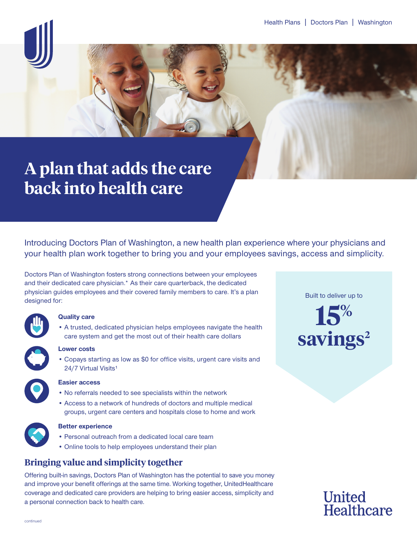# **A plan that adds the care back into health care**

Introducing Doctors Plan of Washington, a new health plan experience where your physicians and your health plan work together to bring you and your employees savings, access and simplicity.

Doctors Plan of Washington fosters strong connections between your employees and their dedicated care physician.\* As their care quarterback, the dedicated physician guides employees and their covered family members to care. It's a plan designed for:



### **Quality care**

• A trusted, dedicated physician helps employees navigate the health care system and get the most out of their health care dollars



#### **Lower costs**

• Copays starting as low as \$0 for office visits, urgent care visits and 24/7 Virtual Visits<sup>1</sup>



#### **Easier access**

- No referrals needed to see specialists within the network
- Access to a network of hundreds of doctors and multiple medical groups, urgent care centers and hospitals close to home and work



#### **Better experience**

- Personal outreach from a dedicated local care team
- Online tools to help employees understand their plan

# **Bringing value and simplicity together**

Offering built-in savings, Doctors Plan of Washington has the potential to save you money and improve your benefit offerings at the same time. Working together, UnitedHealthcare coverage and dedicated care providers are helping to bring easier access, simplicity and a personal connection back to health care.

Built to deliver up to

**15%** savings<sup>2</sup>